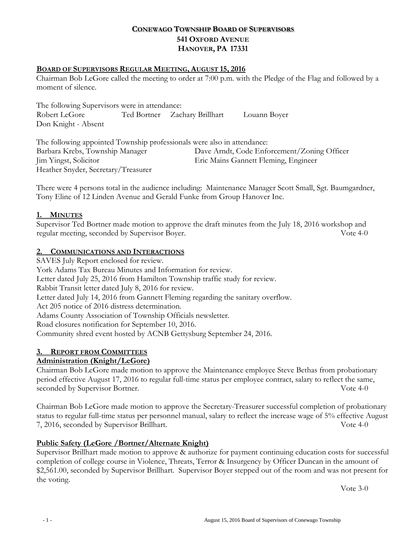# **CONEWAGO TOWNSHIP BOARD OF SUPERVISORS 541 OXFORD AVENUE HANOVER, PA 17331**

## **BOARD OF SUPERVISORS REGULAR MEETING, AUGUST 15, 2016**

Chairman Bob LeGore called the meeting to order at 7:00 p.m. with the Pledge of the Flag and followed by a moment of silence.

The following Supervisors were in attendance: Robert LeGore Ted Bortner Zachary Brillhart Louann Boyer Don Knight - Absent

The following appointed Township professionals were also in attendance: Barbara Krebs, Township Manager Dave Arndt, Code Enforcement/Zoning Officer Jim Yingst, Solicitor Eric Mains Gannett Fleming, Engineer Heather Snyder, Secretary/Treasurer

There were 4 persons total in the audience including: Maintenance Manager Scott Small, Sgt. Baumgardner, Tony Eline of 12 Linden Avenue and Gerald Funke from Group Hanover Inc.

### **1. MINUTES**

Supervisor Ted Bortner made motion to approve the draft minutes from the July 18, 2016 workshop and regular meeting, seconded by Supervisor Boyer. Vote 4-0

#### **2. COMMUNICATIONS AND INTERACTIONS**

SAVES July Report enclosed for review. York Adams Tax Bureau Minutes and Information for review. Letter dated July 25, 2016 from Hamilton Township traffic study for review. Rabbit Transit letter dated July 8, 2016 for review. Letter dated July 14, 2016 from Gannett Fleming regarding the sanitary overflow. Act 205 notice of 2016 distress determination. Adams County Association of Township Officials newsletter. Road closures notification for September 10, 2016. Community shred event hosted by ACNB Gettysburg September 24, 2016.

### **3. REPORT FROM COMMITTEES**

### **Administration (Knight/LeGore)**

Chairman Bob LeGore made motion to approve the Maintenance employee Steve Bethas from probationary period effective August 17, 2016 to regular full-time status per employee contract, salary to reflect the same, seconded by Supervisor Bortner. Vote 4-0

Chairman Bob LeGore made motion to approve the Secretary-Treasurer successful completion of probationary status to regular full-time status per personnel manual, salary to reflect the increase wage of 5% effective August 7, 2016, seconded by Supervisor Brillhart. Vote 4-0

### **Public Safety (LeGore /Bortner/Alternate Knight)**

Supervisor Brillhart made motion to approve & authorize for payment continuing education costs for successful completion of college course in Violence, Threats, Terror & Insurgency by Officer Duncan in the amount of \$2,561.00, seconded by Supervisor Brillhart. Supervisor Boyer stepped out of the room and was not present for the voting.

Vote 3-0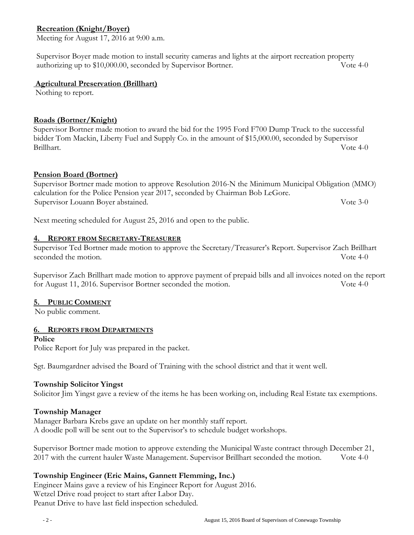# **Recreation (Knight/Boyer)**

Meeting for August 17, 2016 at 9:00 a.m.

Supervisor Boyer made motion to install security cameras and lights at the airport recreation property authorizing up to \$10,000.00, seconded by Supervisor Bortner. Vote 4-0

#### **Agricultural Preservation (Brillhart)**

Nothing to report.

## **Roads (Bortner/Knight)**

Supervisor Bortner made motion to award the bid for the 1995 Ford F700 Dump Truck to the successful bidder Tom Mackin, Liberty Fuel and Supply Co. in the amount of \$15,000.00, seconded by Supervisor Brillhart. Vote 4-0

# **Pension Board (Bortner)**

Supervisor Bortner made motion to approve Resolution 2016-N the Minimum Municipal Obligation (MMO) calculation for the Police Pension year 2017, seconded by Chairman Bob LeGore. Supervisor Louann Boyer abstained. Vote 3-0

Next meeting scheduled for August 25, 2016 and open to the public.

### **4. REPORT FROM SECRETARY-TREASURER**

Supervisor Ted Bortner made motion to approve the Secretary/Treasurer's Report. Supervisor Zach Brillhart seconded the motion.  $\sqrt{64-0}$ 

Supervisor Zach Brillhart made motion to approve payment of prepaid bills and all invoices noted on the report for August 11, 2016. Supervisor Bortner seconded the motion. Vote 4-0

### **5. PUBLIC COMMENT**

No public comment.

### **6. REPORTS FROM DEPARTMENTS**

**Police** 

Police Report for July was prepared in the packet.

Sgt. Baumgardner advised the Board of Training with the school district and that it went well.

### **Township Solicitor Yingst**

Solicitor Jim Yingst gave a review of the items he has been working on, including Real Estate tax exemptions.

### **Township Manager**

Manager Barbara Krebs gave an update on her monthly staff report. A doodle poll will be sent out to the Supervisor's to schedule budget workshops.

Supervisor Bortner made motion to approve extending the Municipal Waste contract through December 21, 2017 with the current hauler Waste Management. Supervisor Brillhart seconded the motion. Vote 4-0

### **Township Engineer (Eric Mains, Gannett Flemming, Inc.)**

Engineer Mains gave a review of his Engineer Report for August 2016. Wetzel Drive road project to start after Labor Day. Peanut Drive to have last field inspection scheduled.